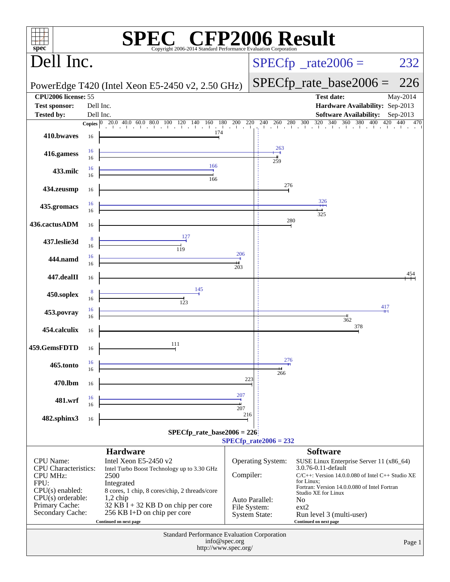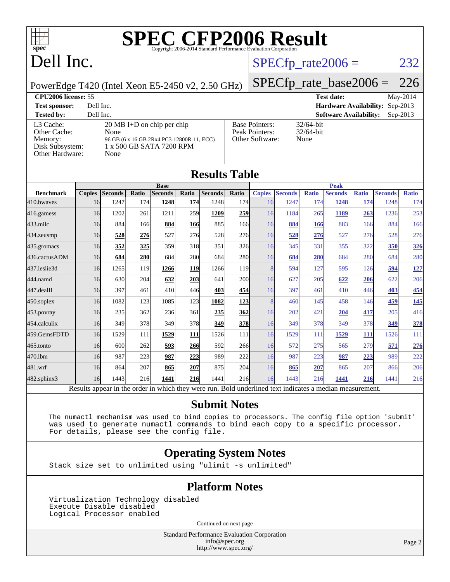

# Dell Inc.

#### $SPECTp_rate2006 = 232$

#### PowerEdge T420 (Intel Xeon E5-2450 v2, 2.50 GHz)

[SPECfp\\_rate\\_base2006 =](http://www.spec.org/auto/cpu2006/Docs/result-fields.html#SPECfpratebase2006) 226 **[CPU2006 license:](http://www.spec.org/auto/cpu2006/Docs/result-fields.html#CPU2006license)** 55 **[Test date:](http://www.spec.org/auto/cpu2006/Docs/result-fields.html#Testdate)** May-2014 **[Test sponsor:](http://www.spec.org/auto/cpu2006/Docs/result-fields.html#Testsponsor)** Dell Inc. **[Hardware Availability:](http://www.spec.org/auto/cpu2006/Docs/result-fields.html#HardwareAvailability)** Sep-2013 **[Tested by:](http://www.spec.org/auto/cpu2006/Docs/result-fields.html#Testedby)** Dell Inc. **[Software Availability:](http://www.spec.org/auto/cpu2006/Docs/result-fields.html#SoftwareAvailability)** Sep-2013

[L3 Cache:](http://www.spec.org/auto/cpu2006/Docs/result-fields.html#L3Cache) 20 MB I+D on chip per ch<br>Other Cache: None [Other Cache:](http://www.spec.org/auto/cpu2006/Docs/result-fields.html#OtherCache) [Memory:](http://www.spec.org/auto/cpu2006/Docs/result-fields.html#Memory) 96 GB (6 x 16 GB 2Rx4 PC3-1280 [Disk Subsystem:](http://www.spec.org/auto/cpu2006/Docs/result-fields.html#DiskSubsystem) 1 x 500 GB SATA 7200 R [Other Hardware:](http://www.spec.org/auto/cpu2006/Docs/result-fields.html#OtherHardware) None

|                    |                       | QUIUWALU AVAHADHI |
|--------------------|-----------------------|-------------------|
| ip                 | <b>Base Pointers:</b> | $32/64$ -bit      |
|                    | Peak Pointers:        | $32/64$ -bit      |
| 00R-11, ECC)<br>PM | Other Software:       | None              |
|                    |                       |                   |

|                  |               |                |       | <b>Base</b>    |       |                |            |               |                |              | <b>Peak</b>    |              |                |              |
|------------------|---------------|----------------|-------|----------------|-------|----------------|------------|---------------|----------------|--------------|----------------|--------------|----------------|--------------|
| <b>Benchmark</b> | <b>Copies</b> | <b>Seconds</b> | Ratio | <b>Seconds</b> | Ratio | <b>Seconds</b> | Ratio      | <b>Copies</b> | <b>Seconds</b> | <b>Ratio</b> | <b>Seconds</b> | <b>Ratio</b> | <b>Seconds</b> | <b>Ratio</b> |
| 410.bwayes       | 16            | 1247           | 174   | 1248           | 174   | 1248           | 174        | 16            | 1247           | 174          | 1248           | 174          | 1248           | 174          |
| 416.gamess       | 16            | 1202           | 261   | 1211           | 259   | 1209           | 259        | 16            | 1184           | 265          | 1189           | 263          | 1236           | 253          |
| $433$ .milc      | 16            | 884            | 166   | 884            | 166   | 885            | 166        | 16            | 884            | 166          | 883            | 166          | 884            | 166          |
| 434.zeusmp       | 16            | 528            | 276   | 527            | 276   | 528            | 276        | 16            | 528            | 276          | 527            | 276          | 528            | 276          |
| 435.gromacs      | 16            | 352            | 325   | 359            | 318   | 351            | 326        | 16            | 345            | 331          | 355            | 322          | 350            | <u>326</u>   |
| 436.cactusADM    | 16            | 684            | 280   | 684            | 280   | 684            | 280        | 16            | 684            | 280          | 684            | 280          | 684            | 280          |
| 437.leslie3d     | 16            | 1265           | 119   | 1266           | 119   | 1266           | <b>119</b> | 8             | 594            | 127          | 595            | 126          | 594            | 127          |
| 444.namd         | 16            | 630            | 204   | 632            | 203   | 641            | 200l       | 16            | 627            | 205          | 622            | 206          | 622            | 206          |
| 447.dealII       | 16            | 397            | 461   | 410            | 446   | 403            | 454        | 16            | 397            | 461          | 410            | 446          | 403            | 454          |
| 450.soplex       | 16            | 1082           | 123   | 1085           | 123   | 1082           | 123        | 8             | 460            | 145          | 458            | 146          | 459            | 145          |
| $453$ .povray    | 16            | 235            | 362   | 236            | 361   | 235            | 362        | 16            | 202            | 421          | 204            | 417          | 205            | 416          |
| 454.calculix     | 16            | 349            | 378   | 349            | 378   | 349            | <b>378</b> | 16            | 349            | 378          | 349            | 378          | 349            | 378          |
| 459.GemsFDTD     | 16            | 1529           | 111   | 1529           | 111   | 1526           | 111        | 16            | 1529           | 111          | 1529           | 111          | 1526           | 111          |
| $465$ .tonto     | 16            | 600            | 262   | 593            | 266   | 592            | 266        | 16            | 572            | 275          | 565            | 279          | 571            | 276          |
| 470.1bm          | 16            | 987            | 223   | 987            | 223   | 989            | 222        | 16            | 987            | 223          | 987            | 223          | 989            | 222          |
| 481.wrf          | 16            | 864            | 207   | 865            | 207   | 875            | 204        | 16            | 865            | 207          | 865            | 207          | 866            | 206          |
| 482.sphinx3      | 16            | 1443           | 216   | 1441           | 216   | 1441           | 216        | 16            | 1443           | 216          | 1441           | 216          | 1441           | 216          |

**[Results Table](http://www.spec.org/auto/cpu2006/Docs/result-fields.html#ResultsTable)**

#### **[Submit Notes](http://www.spec.org/auto/cpu2006/Docs/result-fields.html#SubmitNotes)**

 The numactl mechanism was used to bind copies to processors. The config file option 'submit' was used to generate numactl commands to bind each copy to a specific processor. For details, please see the config file.

#### **[Operating System Notes](http://www.spec.org/auto/cpu2006/Docs/result-fields.html#OperatingSystemNotes)**

Stack size set to unlimited using "ulimit -s unlimited"

#### **[Platform Notes](http://www.spec.org/auto/cpu2006/Docs/result-fields.html#PlatformNotes)**

 Virtualization Technology disabled Execute Disable disabled Logical Processor enabled

Continued on next page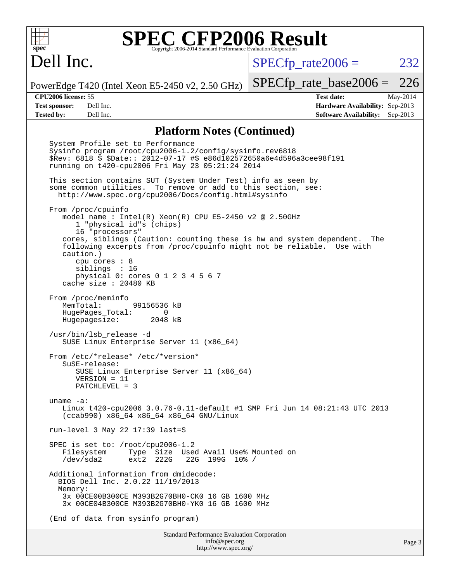# Dell Inc.

 $SPECTp\_rate2006 = 232$ 

PowerEdge T420 (Intel Xeon E5-2450 v2, 2.50 GHz)

**[Test sponsor:](http://www.spec.org/auto/cpu2006/Docs/result-fields.html#Testsponsor)** Dell Inc. **[Hardware Availability:](http://www.spec.org/auto/cpu2006/Docs/result-fields.html#HardwareAvailability)** Sep-2013 **[Tested by:](http://www.spec.org/auto/cpu2006/Docs/result-fields.html#Testedby)** Dell Inc. **[Software Availability:](http://www.spec.org/auto/cpu2006/Docs/result-fields.html#SoftwareAvailability)** Sep-2013

[SPECfp\\_rate\\_base2006 =](http://www.spec.org/auto/cpu2006/Docs/result-fields.html#SPECfpratebase2006) 226 **[CPU2006 license:](http://www.spec.org/auto/cpu2006/Docs/result-fields.html#CPU2006license)** 55 **[Test date:](http://www.spec.org/auto/cpu2006/Docs/result-fields.html#Testdate)** May-2014

#### **[Platform Notes \(Continued\)](http://www.spec.org/auto/cpu2006/Docs/result-fields.html#PlatformNotes)**

 System Profile set to Performance Sysinfo program /root/cpu2006-1.2/config/sysinfo.rev6818 \$Rev: 6818 \$ \$Date:: 2012-07-17 #\$ e86d102572650a6e4d596a3cee98f191 running on t420-cpu2006 Fri May 23 05:21:24 2014 This section contains SUT (System Under Test) info as seen by some common utilities. To remove or add to this section, see: <http://www.spec.org/cpu2006/Docs/config.html#sysinfo> From /proc/cpuinfo model name : Intel(R) Xeon(R) CPU E5-2450 v2 @ 2.50GHz 1 "physical id"s (chips) 16 "processors" cores, siblings (Caution: counting these is hw and system dependent. The following excerpts from /proc/cpuinfo might not be reliable. Use with caution.) cpu cores : 8 siblings : 16 physical 0: cores 0 1 2 3 4 5 6 7 cache size : 20480 KB From /proc/meminfo MemTotal: 99156536 kB HugePages\_Total: 0<br>Hugepagesize: 2048 kB Hugepagesize: /usr/bin/lsb\_release -d SUSE Linux Enterprise Server 11 (x86\_64) From /etc/\*release\* /etc/\*version\* SuSE-release: SUSE Linux Enterprise Server 11 (x86\_64) VERSION = 11 PATCHLEVEL = 3 uname -a: Linux t420-cpu2006 3.0.76-0.11-default #1 SMP Fri Jun 14 08:21:43 UTC 2013 (ccab990) x86\_64 x86\_64 x86\_64 GNU/Linux run-level 3 May 22 17:39 last=S SPEC is set to: /root/cpu2006-1.2 Filesystem Type Size Used Avail Use% Mounted on<br>
/dev/sda2 ext2 222G 22G 199G 10% / 22G 199G 10% / Additional information from dmidecode: BIOS Dell Inc. 2.0.22 11/19/2013 Memory: 3x 00CE00B300CE M393B2G70BH0-CK0 16 GB 1600 MHz 3x 00CE04B300CE M393B2G70BH0-YK0 16 GB 1600 MHz (End of data from sysinfo program)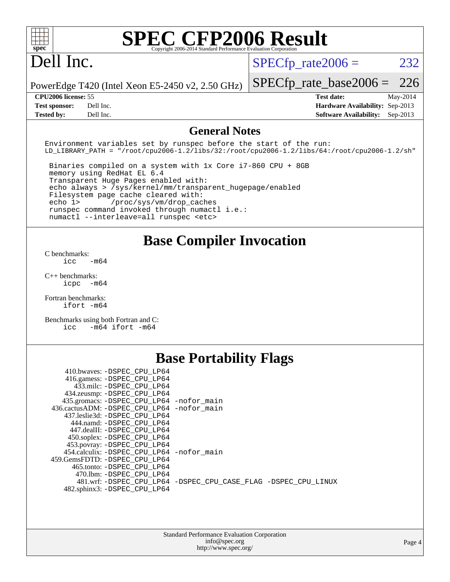# Dell Inc.

 $SPECTp\_rate2006 = 232$ 

PowerEdge T420 (Intel Xeon E5-2450 v2, 2.50 GHz)

[SPECfp\\_rate\\_base2006 =](http://www.spec.org/auto/cpu2006/Docs/result-fields.html#SPECfpratebase2006) 226 **[CPU2006 license:](http://www.spec.org/auto/cpu2006/Docs/result-fields.html#CPU2006license)** 55 **[Test date:](http://www.spec.org/auto/cpu2006/Docs/result-fields.html#Testdate)** May-2014

**[Test sponsor:](http://www.spec.org/auto/cpu2006/Docs/result-fields.html#Testsponsor)** Dell Inc. **[Hardware Availability:](http://www.spec.org/auto/cpu2006/Docs/result-fields.html#HardwareAvailability)** Sep-2013 **[Tested by:](http://www.spec.org/auto/cpu2006/Docs/result-fields.html#Testedby)** Dell Inc. **[Software Availability:](http://www.spec.org/auto/cpu2006/Docs/result-fields.html#SoftwareAvailability)** Sep-2013

#### **[General Notes](http://www.spec.org/auto/cpu2006/Docs/result-fields.html#GeneralNotes)**

Environment variables set by runspec before the start of the run: LD\_LIBRARY\_PATH = "/root/cpu2006-1.2/libs/32:/root/cpu2006-1.2/libs/64:/root/cpu2006-1.2/sh"

 Binaries compiled on a system with 1x Core i7-860 CPU + 8GB memory using RedHat EL 6.4 Transparent Huge Pages enabled with: echo always > /sys/kernel/mm/transparent\_hugepage/enabled Filesystem page cache cleared with: echo 1> /proc/sys/vm/drop\_caches runspec command invoked through numactl i.e.: numactl --interleave=all runspec <etc>

#### **[Base Compiler Invocation](http://www.spec.org/auto/cpu2006/Docs/result-fields.html#BaseCompilerInvocation)**

[C benchmarks](http://www.spec.org/auto/cpu2006/Docs/result-fields.html#Cbenchmarks):  $\frac{1}{2}$ cc  $-\text{m64}$ 

[C++ benchmarks:](http://www.spec.org/auto/cpu2006/Docs/result-fields.html#CXXbenchmarks) [icpc -m64](http://www.spec.org/cpu2006/results/res2014q3/cpu2006-20140616-29917.flags.html#user_CXXbase_intel_icpc_64bit_bedb90c1146cab66620883ef4f41a67e)

[Fortran benchmarks](http://www.spec.org/auto/cpu2006/Docs/result-fields.html#Fortranbenchmarks): [ifort -m64](http://www.spec.org/cpu2006/results/res2014q3/cpu2006-20140616-29917.flags.html#user_FCbase_intel_ifort_64bit_ee9d0fb25645d0210d97eb0527dcc06e)

[Benchmarks using both Fortran and C](http://www.spec.org/auto/cpu2006/Docs/result-fields.html#BenchmarksusingbothFortranandC): [icc -m64](http://www.spec.org/cpu2006/results/res2014q3/cpu2006-20140616-29917.flags.html#user_CC_FCbase_intel_icc_64bit_0b7121f5ab7cfabee23d88897260401c) [ifort -m64](http://www.spec.org/cpu2006/results/res2014q3/cpu2006-20140616-29917.flags.html#user_CC_FCbase_intel_ifort_64bit_ee9d0fb25645d0210d97eb0527dcc06e)

#### **[Base Portability Flags](http://www.spec.org/auto/cpu2006/Docs/result-fields.html#BasePortabilityFlags)**

| 410.bwaves: -DSPEC CPU LP64                  |                                                                |
|----------------------------------------------|----------------------------------------------------------------|
| 416.gamess: -DSPEC_CPU_LP64                  |                                                                |
| 433.milc: -DSPEC CPU LP64                    |                                                                |
| 434.zeusmp: - DSPEC_CPU_LP64                 |                                                                |
| 435.gromacs: -DSPEC_CPU_LP64 -nofor_main     |                                                                |
| 436.cactusADM: - DSPEC CPU LP64 - nofor main |                                                                |
| 437.leslie3d: -DSPEC CPU LP64                |                                                                |
| 444.namd: - DSPEC CPU LP64                   |                                                                |
| 447.dealII: -DSPEC CPU LP64                  |                                                                |
| 450.soplex: -DSPEC_CPU_LP64                  |                                                                |
| 453.povray: -DSPEC_CPU_LP64                  |                                                                |
| 454.calculix: - DSPEC CPU LP64 - nofor main  |                                                                |
| 459.GemsFDTD: -DSPEC CPU LP64                |                                                                |
| 465.tonto: -DSPEC CPU LP64                   |                                                                |
| 470.1bm: - DSPEC CPU LP64                    |                                                                |
|                                              | 481.wrf: -DSPEC CPU_LP64 -DSPEC_CPU_CASE_FLAG -DSPEC_CPU_LINUX |
| 482.sphinx3: -DSPEC_CPU_LP64                 |                                                                |
|                                              |                                                                |
|                                              |                                                                |

| <b>Standard Performance Evaluation Corporation</b> |
|----------------------------------------------------|
| info@spec.org                                      |
| http://www.spec.org/                               |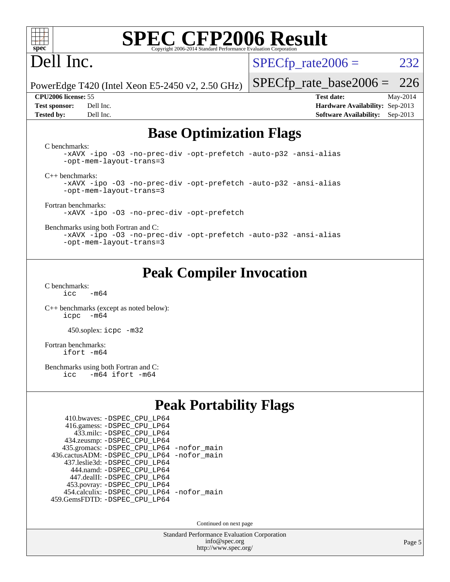

# Dell Inc.

 $SPECTp\_rate2006 = 232$ 

PowerEdge T420 (Intel Xeon E5-2450 v2, 2.50 GHz)

[SPECfp\\_rate\\_base2006 =](http://www.spec.org/auto/cpu2006/Docs/result-fields.html#SPECfpratebase2006) 226

**[CPU2006 license:](http://www.spec.org/auto/cpu2006/Docs/result-fields.html#CPU2006license)** 55 **[Test date:](http://www.spec.org/auto/cpu2006/Docs/result-fields.html#Testdate)** May-2014 **[Test sponsor:](http://www.spec.org/auto/cpu2006/Docs/result-fields.html#Testsponsor)** Dell Inc. **[Hardware Availability:](http://www.spec.org/auto/cpu2006/Docs/result-fields.html#HardwareAvailability)** Sep-2013 **[Tested by:](http://www.spec.org/auto/cpu2006/Docs/result-fields.html#Testedby)** Dell Inc. **[Software Availability:](http://www.spec.org/auto/cpu2006/Docs/result-fields.html#SoftwareAvailability)** Sep-2013

### **[Base Optimization Flags](http://www.spec.org/auto/cpu2006/Docs/result-fields.html#BaseOptimizationFlags)**

[C benchmarks](http://www.spec.org/auto/cpu2006/Docs/result-fields.html#Cbenchmarks):

[-xAVX](http://www.spec.org/cpu2006/results/res2014q3/cpu2006-20140616-29917.flags.html#user_CCbase_f-xAVX) [-ipo](http://www.spec.org/cpu2006/results/res2014q3/cpu2006-20140616-29917.flags.html#user_CCbase_f-ipo) [-O3](http://www.spec.org/cpu2006/results/res2014q3/cpu2006-20140616-29917.flags.html#user_CCbase_f-O3) [-no-prec-div](http://www.spec.org/cpu2006/results/res2014q3/cpu2006-20140616-29917.flags.html#user_CCbase_f-no-prec-div) [-opt-prefetch](http://www.spec.org/cpu2006/results/res2014q3/cpu2006-20140616-29917.flags.html#user_CCbase_f-opt-prefetch) [-auto-p32](http://www.spec.org/cpu2006/results/res2014q3/cpu2006-20140616-29917.flags.html#user_CCbase_f-auto-p32) [-ansi-alias](http://www.spec.org/cpu2006/results/res2014q3/cpu2006-20140616-29917.flags.html#user_CCbase_f-ansi-alias) [-opt-mem-layout-trans=3](http://www.spec.org/cpu2006/results/res2014q3/cpu2006-20140616-29917.flags.html#user_CCbase_f-opt-mem-layout-trans_a7b82ad4bd7abf52556d4961a2ae94d5)

[C++ benchmarks:](http://www.spec.org/auto/cpu2006/Docs/result-fields.html#CXXbenchmarks)

[-xAVX](http://www.spec.org/cpu2006/results/res2014q3/cpu2006-20140616-29917.flags.html#user_CXXbase_f-xAVX) [-ipo](http://www.spec.org/cpu2006/results/res2014q3/cpu2006-20140616-29917.flags.html#user_CXXbase_f-ipo) [-O3](http://www.spec.org/cpu2006/results/res2014q3/cpu2006-20140616-29917.flags.html#user_CXXbase_f-O3) [-no-prec-div](http://www.spec.org/cpu2006/results/res2014q3/cpu2006-20140616-29917.flags.html#user_CXXbase_f-no-prec-div) [-opt-prefetch](http://www.spec.org/cpu2006/results/res2014q3/cpu2006-20140616-29917.flags.html#user_CXXbase_f-opt-prefetch) [-auto-p32](http://www.spec.org/cpu2006/results/res2014q3/cpu2006-20140616-29917.flags.html#user_CXXbase_f-auto-p32) [-ansi-alias](http://www.spec.org/cpu2006/results/res2014q3/cpu2006-20140616-29917.flags.html#user_CXXbase_f-ansi-alias) [-opt-mem-layout-trans=3](http://www.spec.org/cpu2006/results/res2014q3/cpu2006-20140616-29917.flags.html#user_CXXbase_f-opt-mem-layout-trans_a7b82ad4bd7abf52556d4961a2ae94d5)

[Fortran benchmarks](http://www.spec.org/auto/cpu2006/Docs/result-fields.html#Fortranbenchmarks): [-xAVX](http://www.spec.org/cpu2006/results/res2014q3/cpu2006-20140616-29917.flags.html#user_FCbase_f-xAVX) [-ipo](http://www.spec.org/cpu2006/results/res2014q3/cpu2006-20140616-29917.flags.html#user_FCbase_f-ipo) [-O3](http://www.spec.org/cpu2006/results/res2014q3/cpu2006-20140616-29917.flags.html#user_FCbase_f-O3) [-no-prec-div](http://www.spec.org/cpu2006/results/res2014q3/cpu2006-20140616-29917.flags.html#user_FCbase_f-no-prec-div) [-opt-prefetch](http://www.spec.org/cpu2006/results/res2014q3/cpu2006-20140616-29917.flags.html#user_FCbase_f-opt-prefetch)

[Benchmarks using both Fortran and C](http://www.spec.org/auto/cpu2006/Docs/result-fields.html#BenchmarksusingbothFortranandC):

[-xAVX](http://www.spec.org/cpu2006/results/res2014q3/cpu2006-20140616-29917.flags.html#user_CC_FCbase_f-xAVX) [-ipo](http://www.spec.org/cpu2006/results/res2014q3/cpu2006-20140616-29917.flags.html#user_CC_FCbase_f-ipo) [-O3](http://www.spec.org/cpu2006/results/res2014q3/cpu2006-20140616-29917.flags.html#user_CC_FCbase_f-O3) [-no-prec-div](http://www.spec.org/cpu2006/results/res2014q3/cpu2006-20140616-29917.flags.html#user_CC_FCbase_f-no-prec-div) [-opt-prefetch](http://www.spec.org/cpu2006/results/res2014q3/cpu2006-20140616-29917.flags.html#user_CC_FCbase_f-opt-prefetch) [-auto-p32](http://www.spec.org/cpu2006/results/res2014q3/cpu2006-20140616-29917.flags.html#user_CC_FCbase_f-auto-p32) [-ansi-alias](http://www.spec.org/cpu2006/results/res2014q3/cpu2006-20140616-29917.flags.html#user_CC_FCbase_f-ansi-alias) [-opt-mem-layout-trans=3](http://www.spec.org/cpu2006/results/res2014q3/cpu2006-20140616-29917.flags.html#user_CC_FCbase_f-opt-mem-layout-trans_a7b82ad4bd7abf52556d4961a2ae94d5)

### **[Peak Compiler Invocation](http://www.spec.org/auto/cpu2006/Docs/result-fields.html#PeakCompilerInvocation)**

[C benchmarks](http://www.spec.org/auto/cpu2006/Docs/result-fields.html#Cbenchmarks):  $icc$   $-m64$ 

[C++ benchmarks \(except as noted below\):](http://www.spec.org/auto/cpu2006/Docs/result-fields.html#CXXbenchmarksexceptasnotedbelow) [icpc -m64](http://www.spec.org/cpu2006/results/res2014q3/cpu2006-20140616-29917.flags.html#user_CXXpeak_intel_icpc_64bit_bedb90c1146cab66620883ef4f41a67e)

450.soplex: [icpc -m32](http://www.spec.org/cpu2006/results/res2014q3/cpu2006-20140616-29917.flags.html#user_peakCXXLD450_soplex_intel_icpc_4e5a5ef1a53fd332b3c49e69c3330699)

[Fortran benchmarks](http://www.spec.org/auto/cpu2006/Docs/result-fields.html#Fortranbenchmarks): [ifort -m64](http://www.spec.org/cpu2006/results/res2014q3/cpu2006-20140616-29917.flags.html#user_FCpeak_intel_ifort_64bit_ee9d0fb25645d0210d97eb0527dcc06e)

[Benchmarks using both Fortran and C](http://www.spec.org/auto/cpu2006/Docs/result-fields.html#BenchmarksusingbothFortranandC):<br>icc -m64 ifort -m64  $-m64$  ifort  $-m64$ 

### **[Peak Portability Flags](http://www.spec.org/auto/cpu2006/Docs/result-fields.html#PeakPortabilityFlags)**

| 410.bwaves: - DSPEC_CPU_LP64                 |  |
|----------------------------------------------|--|
| 416.gamess: -DSPEC_CPU_LP64                  |  |
| 433.milc: - DSPEC_CPU LP64                   |  |
| 434.zeusmp: -DSPEC_CPU_LP64                  |  |
| 435.gromacs: -DSPEC_CPU_LP64 -nofor_main     |  |
| 436.cactusADM: - DSPEC CPU LP64 - nofor main |  |
| 437.leslie3d: -DSPEC CPU LP64                |  |
| 444.namd: - DSPEC CPU LP64                   |  |
| 447.dealII: -DSPEC CPU LP64                  |  |
| 453.povray: -DSPEC_CPU_LP64                  |  |
| 454.calculix: - DSPEC CPU LP64 - nofor main  |  |
| 459.GemsFDTD: - DSPEC_CPU_LP64               |  |

Continued on next page

Standard Performance Evaluation Corporation [info@spec.org](mailto:info@spec.org) <http://www.spec.org/>

Page 5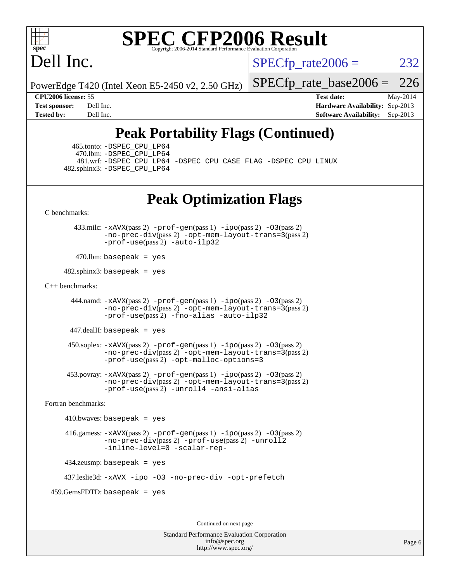

# Dell Inc.

 $SPECTp\_rate2006 = 232$ 

PowerEdge T420 (Intel Xeon E5-2450 v2, 2.50 GHz)

[SPECfp\\_rate\\_base2006 =](http://www.spec.org/auto/cpu2006/Docs/result-fields.html#SPECfpratebase2006) 226

**[CPU2006 license:](http://www.spec.org/auto/cpu2006/Docs/result-fields.html#CPU2006license)** 55 **[Test date:](http://www.spec.org/auto/cpu2006/Docs/result-fields.html#Testdate)** May-2014 **[Test sponsor:](http://www.spec.org/auto/cpu2006/Docs/result-fields.html#Testsponsor)** Dell Inc. **[Hardware Availability:](http://www.spec.org/auto/cpu2006/Docs/result-fields.html#HardwareAvailability)** Sep-2013 **[Tested by:](http://www.spec.org/auto/cpu2006/Docs/result-fields.html#Testedby)** Dell Inc. **[Software Availability:](http://www.spec.org/auto/cpu2006/Docs/result-fields.html#SoftwareAvailability)** Sep-2013

## **[Peak Portability Flags \(Continued\)](http://www.spec.org/auto/cpu2006/Docs/result-fields.html#PeakPortabilityFlags)**

 465.tonto: [-DSPEC\\_CPU\\_LP64](http://www.spec.org/cpu2006/results/res2014q3/cpu2006-20140616-29917.flags.html#suite_peakPORTABILITY465_tonto_DSPEC_CPU_LP64) 470.lbm: [-DSPEC\\_CPU\\_LP64](http://www.spec.org/cpu2006/results/res2014q3/cpu2006-20140616-29917.flags.html#suite_peakPORTABILITY470_lbm_DSPEC_CPU_LP64) 482.sphinx3: [-DSPEC\\_CPU\\_LP64](http://www.spec.org/cpu2006/results/res2014q3/cpu2006-20140616-29917.flags.html#suite_peakPORTABILITY482_sphinx3_DSPEC_CPU_LP64)

481.wrf: [-DSPEC\\_CPU\\_LP64](http://www.spec.org/cpu2006/results/res2014q3/cpu2006-20140616-29917.flags.html#suite_peakPORTABILITY481_wrf_DSPEC_CPU_LP64) [-DSPEC\\_CPU\\_CASE\\_FLAG](http://www.spec.org/cpu2006/results/res2014q3/cpu2006-20140616-29917.flags.html#b481.wrf_peakCPORTABILITY_DSPEC_CPU_CASE_FLAG) [-DSPEC\\_CPU\\_LINUX](http://www.spec.org/cpu2006/results/res2014q3/cpu2006-20140616-29917.flags.html#b481.wrf_peakCPORTABILITY_DSPEC_CPU_LINUX)

### **[Peak Optimization Flags](http://www.spec.org/auto/cpu2006/Docs/result-fields.html#PeakOptimizationFlags)**

[C benchmarks](http://www.spec.org/auto/cpu2006/Docs/result-fields.html#Cbenchmarks):

 433.milc: [-xAVX](http://www.spec.org/cpu2006/results/res2014q3/cpu2006-20140616-29917.flags.html#user_peakPASS2_CFLAGSPASS2_LDFLAGS433_milc_f-xAVX)(pass 2) [-prof-gen](http://www.spec.org/cpu2006/results/res2014q3/cpu2006-20140616-29917.flags.html#user_peakPASS1_CFLAGSPASS1_LDFLAGS433_milc_prof_gen_e43856698f6ca7b7e442dfd80e94a8fc)(pass 1) [-ipo](http://www.spec.org/cpu2006/results/res2014q3/cpu2006-20140616-29917.flags.html#user_peakPASS2_CFLAGSPASS2_LDFLAGS433_milc_f-ipo)(pass 2) [-O3](http://www.spec.org/cpu2006/results/res2014q3/cpu2006-20140616-29917.flags.html#user_peakPASS2_CFLAGSPASS2_LDFLAGS433_milc_f-O3)(pass 2) [-no-prec-div](http://www.spec.org/cpu2006/results/res2014q3/cpu2006-20140616-29917.flags.html#user_peakPASS2_CFLAGSPASS2_LDFLAGS433_milc_f-no-prec-div)(pass 2) [-opt-mem-layout-trans=3](http://www.spec.org/cpu2006/results/res2014q3/cpu2006-20140616-29917.flags.html#user_peakPASS2_CFLAGS433_milc_f-opt-mem-layout-trans_a7b82ad4bd7abf52556d4961a2ae94d5)(pass 2) [-prof-use](http://www.spec.org/cpu2006/results/res2014q3/cpu2006-20140616-29917.flags.html#user_peakPASS2_CFLAGSPASS2_LDFLAGS433_milc_prof_use_bccf7792157ff70d64e32fe3e1250b55)(pass 2) [-auto-ilp32](http://www.spec.org/cpu2006/results/res2014q3/cpu2006-20140616-29917.flags.html#user_peakCOPTIMIZE433_milc_f-auto-ilp32)

 $470$ .lbm: basepeak = yes

 $482$ .sphinx3: basepeak = yes

#### [C++ benchmarks:](http://www.spec.org/auto/cpu2006/Docs/result-fields.html#CXXbenchmarks)

444.namd:  $-x$ AVX(pass 2)  $-p$ rof-gen(pass 1)  $-p$ po(pass 2)  $-03$ (pass 2) [-no-prec-div](http://www.spec.org/cpu2006/results/res2014q3/cpu2006-20140616-29917.flags.html#user_peakPASS2_CXXFLAGSPASS2_LDFLAGS444_namd_f-no-prec-div)(pass 2) [-opt-mem-layout-trans=3](http://www.spec.org/cpu2006/results/res2014q3/cpu2006-20140616-29917.flags.html#user_peakPASS2_CXXFLAGS444_namd_f-opt-mem-layout-trans_a7b82ad4bd7abf52556d4961a2ae94d5)(pass 2) [-prof-use](http://www.spec.org/cpu2006/results/res2014q3/cpu2006-20140616-29917.flags.html#user_peakPASS2_CXXFLAGSPASS2_LDFLAGS444_namd_prof_use_bccf7792157ff70d64e32fe3e1250b55)(pass 2) [-fno-alias](http://www.spec.org/cpu2006/results/res2014q3/cpu2006-20140616-29917.flags.html#user_peakCXXOPTIMIZE444_namd_f-no-alias_694e77f6c5a51e658e82ccff53a9e63a) [-auto-ilp32](http://www.spec.org/cpu2006/results/res2014q3/cpu2006-20140616-29917.flags.html#user_peakCXXOPTIMIZE444_namd_f-auto-ilp32)

447.dealII: basepeak = yes

 $450$ .soplex:  $-x$ AVX(pass 2)  $-p$ rof-gen(pass 1)  $-i$ po(pass 2)  $-03$ (pass 2) [-no-prec-div](http://www.spec.org/cpu2006/results/res2014q3/cpu2006-20140616-29917.flags.html#user_peakPASS2_CXXFLAGSPASS2_LDFLAGS450_soplex_f-no-prec-div)(pass 2) [-opt-mem-layout-trans=3](http://www.spec.org/cpu2006/results/res2014q3/cpu2006-20140616-29917.flags.html#user_peakPASS2_CXXFLAGS450_soplex_f-opt-mem-layout-trans_a7b82ad4bd7abf52556d4961a2ae94d5)(pass 2) [-prof-use](http://www.spec.org/cpu2006/results/res2014q3/cpu2006-20140616-29917.flags.html#user_peakPASS2_CXXFLAGSPASS2_LDFLAGS450_soplex_prof_use_bccf7792157ff70d64e32fe3e1250b55)(pass 2) [-opt-malloc-options=3](http://www.spec.org/cpu2006/results/res2014q3/cpu2006-20140616-29917.flags.html#user_peakOPTIMIZE450_soplex_f-opt-malloc-options_13ab9b803cf986b4ee62f0a5998c2238)

 453.povray: [-xAVX](http://www.spec.org/cpu2006/results/res2014q3/cpu2006-20140616-29917.flags.html#user_peakPASS2_CXXFLAGSPASS2_LDFLAGS453_povray_f-xAVX)(pass 2) [-prof-gen](http://www.spec.org/cpu2006/results/res2014q3/cpu2006-20140616-29917.flags.html#user_peakPASS1_CXXFLAGSPASS1_LDFLAGS453_povray_prof_gen_e43856698f6ca7b7e442dfd80e94a8fc)(pass 1) [-ipo](http://www.spec.org/cpu2006/results/res2014q3/cpu2006-20140616-29917.flags.html#user_peakPASS2_CXXFLAGSPASS2_LDFLAGS453_povray_f-ipo)(pass 2) [-O3](http://www.spec.org/cpu2006/results/res2014q3/cpu2006-20140616-29917.flags.html#user_peakPASS2_CXXFLAGSPASS2_LDFLAGS453_povray_f-O3)(pass 2) [-no-prec-div](http://www.spec.org/cpu2006/results/res2014q3/cpu2006-20140616-29917.flags.html#user_peakPASS2_CXXFLAGSPASS2_LDFLAGS453_povray_f-no-prec-div)(pass 2) [-opt-mem-layout-trans=3](http://www.spec.org/cpu2006/results/res2014q3/cpu2006-20140616-29917.flags.html#user_peakPASS2_CXXFLAGS453_povray_f-opt-mem-layout-trans_a7b82ad4bd7abf52556d4961a2ae94d5)(pass 2) [-prof-use](http://www.spec.org/cpu2006/results/res2014q3/cpu2006-20140616-29917.flags.html#user_peakPASS2_CXXFLAGSPASS2_LDFLAGS453_povray_prof_use_bccf7792157ff70d64e32fe3e1250b55)(pass 2) [-unroll4](http://www.spec.org/cpu2006/results/res2014q3/cpu2006-20140616-29917.flags.html#user_peakCXXOPTIMIZE453_povray_f-unroll_4e5e4ed65b7fd20bdcd365bec371b81f) [-ansi-alias](http://www.spec.org/cpu2006/results/res2014q3/cpu2006-20140616-29917.flags.html#user_peakCXXOPTIMIZE453_povray_f-ansi-alias)

[Fortran benchmarks](http://www.spec.org/auto/cpu2006/Docs/result-fields.html#Fortranbenchmarks):

```
410.bwaves: basepeak = yes 416.gamess: -xAVX(pass 2) -prof-gen(pass 1) -ipo(pass 2) -O3(pass 2)
          -no-prec-div(pass 2) -prof-use(pass 2) -unroll2
          -inline-level=0 -scalar-rep-
 434.zeusmp: basepeak = yes
```
437.leslie3d: [-xAVX](http://www.spec.org/cpu2006/results/res2014q3/cpu2006-20140616-29917.flags.html#user_peakOPTIMIZE437_leslie3d_f-xAVX) [-ipo](http://www.spec.org/cpu2006/results/res2014q3/cpu2006-20140616-29917.flags.html#user_peakOPTIMIZE437_leslie3d_f-ipo) [-O3](http://www.spec.org/cpu2006/results/res2014q3/cpu2006-20140616-29917.flags.html#user_peakOPTIMIZE437_leslie3d_f-O3) [-no-prec-div](http://www.spec.org/cpu2006/results/res2014q3/cpu2006-20140616-29917.flags.html#user_peakOPTIMIZE437_leslie3d_f-no-prec-div) [-opt-prefetch](http://www.spec.org/cpu2006/results/res2014q3/cpu2006-20140616-29917.flags.html#user_peakOPTIMIZE437_leslie3d_f-opt-prefetch)

459.GemsFDTD: basepeak = yes

Continued on next page